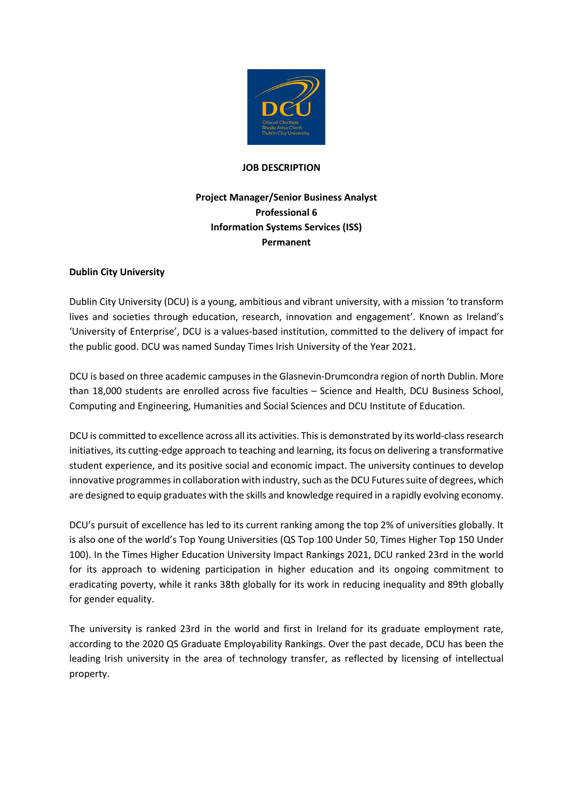

## **JOB DESCRIPTION**

# **Project Manager/Senior Business Analyst Professional 6 Information Systems Services (ISS) Permanent**

## **Dublin City University**

Dublin City University (DCU) is a young, ambitious and vibrant university, with a mission 'to transform lives and societies through education, research, innovation and engagement'. Known as Ireland's 'University of Enterprise', DCU is a values-based institution, committed to the delivery of impact for the public good. DCU was named Sunday Times Irish University of the Year 2021.

DCU is based on three academic campuses in the Glasnevin-Drumcondra region of north Dublin. More than 18,000 students are enrolled across five faculties – Science and Health, DCU Business School, Computing and Engineering, Humanities and Social Sciences and DCU Institute of Education.

DCU is committed to excellence across all its activities. This is demonstrated by its world-class research initiatives, its cutting-edge approach to teaching and learning, its focus on delivering a transformative student experience, and its positive social and economic impact. The university continues to develop innovative programmes in collaboration with industry, such as the DCU Futures suite of degrees, which are designed to equip graduates with the skills and knowledge required in a rapidly evolving economy.

DCU's pursuit of excellence has led to its current ranking among the top 2% of universities globally. It is also one of the world's Top Young Universities (QS Top 100 Under 50, Times Higher Top 150 Under 100). In the Times Higher Education University Impact Rankings 2021, DCU ranked 23rd in the world for its approach to widening participation in higher education and its ongoing commitment to eradicating poverty, while it ranks 38th globally for its work in reducing inequality and 89th globally for gender equality.

The university is ranked 23rd in the world and first in Ireland for its graduate employment rate, according to the 2020 QS Graduate Employability Rankings. Over the past decade, DCU has been the leading Irish university in the area of technology transfer, as reflected by licensing of intellectual property.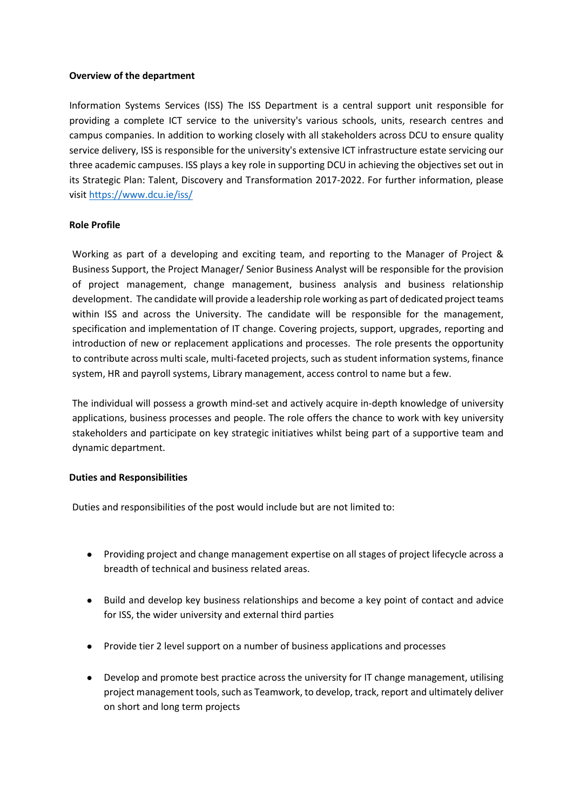## **Overview of the department**

Information Systems Services (ISS) The ISS Department is a central support unit responsible for providing a complete ICT service to the university's various schools, units, research centres and campus companies. In addition to working closely with all stakeholders across DCU to ensure quality service delivery, ISS is responsible for the university's extensive ICT infrastructure estate servicing our three academic campuses. ISS plays a key role in supporting DCU in achieving the objectives set out in its Strategic Plan: Talent, Discovery and Transformation 2017-2022. For further information, please visi[t https://www.dcu.ie/iss/](https://www.dcu.ie/iss/)

## **Role Profile**

Working as part of a developing and exciting team, and reporting to the Manager of Project & Business Support, the Project Manager/ Senior Business Analyst will be responsible for the provision of project management, change management, business analysis and business relationship development. The candidate will provide a leadership role working as part of dedicated project teams within ISS and across the University. The candidate will be responsible for the management, specification and implementation of IT change. Covering projects, support, upgrades, reporting and introduction of new or replacement applications and processes. The role presents the opportunity to contribute across multi scale, multi-faceted projects, such as student information systems, finance system, HR and payroll systems, Library management, access control to name but a few.

The individual will possess a growth mind-set and actively acquire in-depth knowledge of university applications, business processes and people. The role offers the chance to work with key university stakeholders and participate on key strategic initiatives whilst being part of a supportive team and dynamic department.

## **Duties and Responsibilities**

Duties and responsibilities of the post would include but are not limited to:

- Providing project and change management expertise on all stages of project lifecycle across a breadth of technical and business related areas.
- Build and develop key business relationships and become a key point of contact and advice for ISS, the wider university and external third parties
- Provide tier 2 level support on a number of business applications and processes
- Develop and promote best practice across the university for IT change management, utilising project management tools, such as Teamwork, to develop, track, report and ultimately deliver on short and long term projects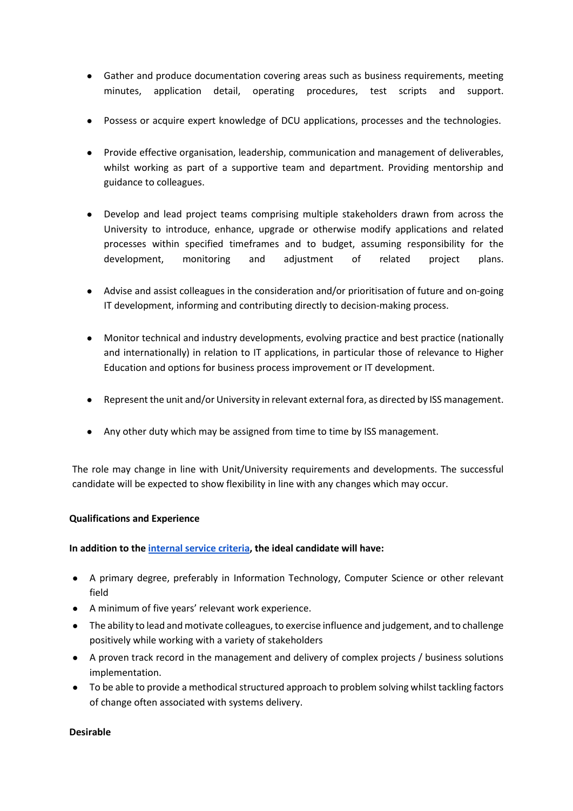- Gather and produce documentation covering areas such as business requirements, meeting minutes, application detail, operating procedures, test scripts and support.
- Possess or acquire expert knowledge of DCU applications, processes and the technologies.
- Provide effective organisation, leadership, communication and management of deliverables, whilst working as part of a supportive team and department. Providing mentorship and guidance to colleagues.
- Develop and lead project teams comprising multiple stakeholders drawn from across the University to introduce, enhance, upgrade or otherwise modify applications and related processes within specified timeframes and to budget, assuming responsibility for the development, monitoring and adjustment of related project plans.
- Advise and assist colleagues in the consideration and/or prioritisation of future and on-going IT development, informing and contributing directly to decision-making process.
- Monitor technical and industry developments, evolving practice and best practice (nationally and internationally) in relation to IT applications, in particular those of relevance to Higher Education and options for business process improvement or IT development.
- Represent the unit and/or University in relevant external fora, as directed by ISS management.
- Any other duty which may be assigned from time to time by ISS management.

The role may change in line with Unit/University requirements and developments. The successful candidate will be expected to show flexibility in line with any changes which may occur.

## **Qualifications and Experience**

## **In addition to the [internal service criteria,](https://www.dcu.ie/internal/internal-promotion-eligibility-criteria-for-permanent-administration-post) the ideal candidate will have:**

- A primary degree, preferably in Information Technology, Computer Science or other relevant field
- A minimum of five years' relevant work experience.
- The ability to lead and motivate colleagues, to exercise influence and judgement, and to challenge positively while working with a variety of stakeholders
- A proven track record in the management and delivery of complex projects / business solutions implementation.
- To be able to provide a methodical structured approach to problem solving whilst tackling factors of change often associated with systems delivery.

## **Desirable**